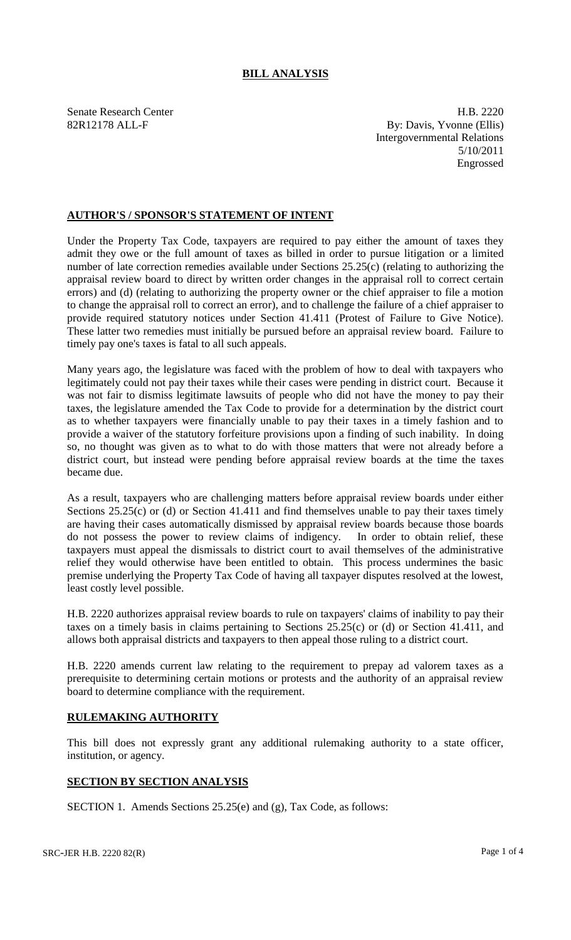## **BILL ANALYSIS**

Senate Research Center **H.B. 2220** 82R12178 ALL-F By: Davis, Yvonne (Ellis) Intergovernmental Relations 5/10/2011 Engrossed

## **AUTHOR'S / SPONSOR'S STATEMENT OF INTENT**

Under the Property Tax Code, taxpayers are required to pay either the amount of taxes they admit they owe or the full amount of taxes as billed in order to pursue litigation or a limited number of late correction remedies available under Sections 25.25(c) (relating to authorizing the appraisal review board to direct by written order changes in the appraisal roll to correct certain errors) and (d) (relating to authorizing the property owner or the chief appraiser to file a motion to change the appraisal roll to correct an error), and to challenge the failure of a chief appraiser to provide required statutory notices under Section 41.411 (Protest of Failure to Give Notice). These latter two remedies must initially be pursued before an appraisal review board. Failure to timely pay one's taxes is fatal to all such appeals.

Many years ago, the legislature was faced with the problem of how to deal with taxpayers who legitimately could not pay their taxes while their cases were pending in district court. Because it was not fair to dismiss legitimate lawsuits of people who did not have the money to pay their taxes, the legislature amended the Tax Code to provide for a determination by the district court as to whether taxpayers were financially unable to pay their taxes in a timely fashion and to provide a waiver of the statutory forfeiture provisions upon a finding of such inability. In doing so, no thought was given as to what to do with those matters that were not already before a district court, but instead were pending before appraisal review boards at the time the taxes became due.

As a result, taxpayers who are challenging matters before appraisal review boards under either Sections 25.25(c) or (d) or Section 41.411 and find themselves unable to pay their taxes timely are having their cases automatically dismissed by appraisal review boards because those boards do not possess the power to review claims of indigency. In order to obtain relief, these taxpayers must appeal the dismissals to district court to avail themselves of the administrative relief they would otherwise have been entitled to obtain. This process undermines the basic premise underlying the Property Tax Code of having all taxpayer disputes resolved at the lowest, least costly level possible.

H.B. 2220 authorizes appraisal review boards to rule on taxpayers' claims of inability to pay their taxes on a timely basis in claims pertaining to Sections 25.25(c) or (d) or Section 41.411, and allows both appraisal districts and taxpayers to then appeal those ruling to a district court.

H.B. 2220 amends current law relating to the requirement to prepay ad valorem taxes as a prerequisite to determining certain motions or protests and the authority of an appraisal review board to determine compliance with the requirement.

## **RULEMAKING AUTHORITY**

This bill does not expressly grant any additional rulemaking authority to a state officer, institution, or agency.

## **SECTION BY SECTION ANALYSIS**

SECTION 1. Amends Sections 25.25(e) and (g), Tax Code, as follows: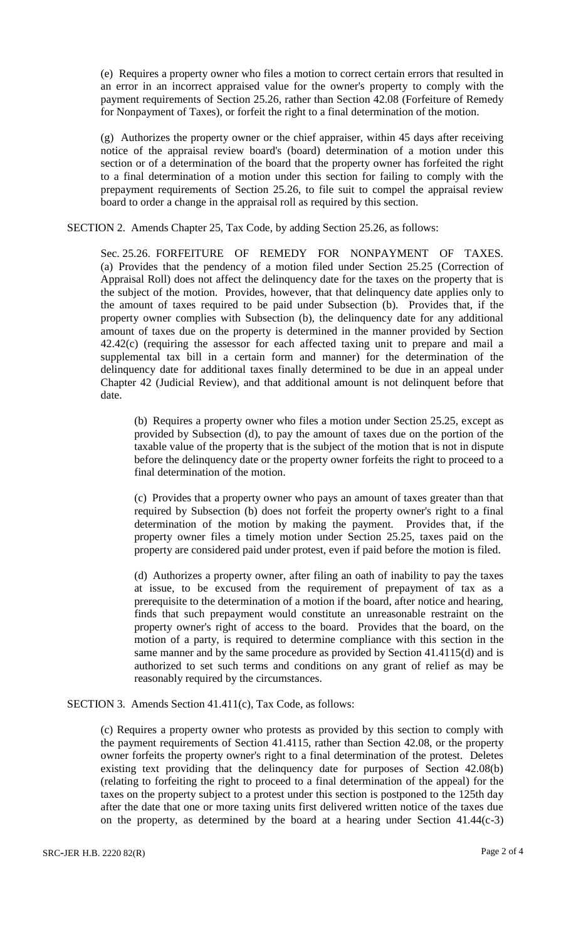(e) Requires a property owner who files a motion to correct certain errors that resulted in an error in an incorrect appraised value for the owner's property to comply with the payment requirements of Section 25.26, rather than Section 42.08 (Forfeiture of Remedy for Nonpayment of Taxes), or forfeit the right to a final determination of the motion.

(g) Authorizes the property owner or the chief appraiser, within 45 days after receiving notice of the appraisal review board's (board) determination of a motion under this section or of a determination of the board that the property owner has forfeited the right to a final determination of a motion under this section for failing to comply with the prepayment requirements of Section 25.26, to file suit to compel the appraisal review board to order a change in the appraisal roll as required by this section.

SECTION 2. Amends Chapter 25, Tax Code, by adding Section 25.26, as follows:

Sec. 25.26. FORFEITURE OF REMEDY FOR NONPAYMENT OF TAXES. (a) Provides that the pendency of a motion filed under Section 25.25 (Correction of Appraisal Roll) does not affect the delinquency date for the taxes on the property that is the subject of the motion. Provides, however, that that delinquency date applies only to the amount of taxes required to be paid under Subsection (b). Provides that, if the property owner complies with Subsection (b), the delinquency date for any additional amount of taxes due on the property is determined in the manner provided by Section 42.42(c) (requiring the assessor for each affected taxing unit to prepare and mail a supplemental tax bill in a certain form and manner) for the determination of the delinquency date for additional taxes finally determined to be due in an appeal under Chapter 42 (Judicial Review), and that additional amount is not delinquent before that date.

(b) Requires a property owner who files a motion under Section 25.25, except as provided by Subsection (d), to pay the amount of taxes due on the portion of the taxable value of the property that is the subject of the motion that is not in dispute before the delinquency date or the property owner forfeits the right to proceed to a final determination of the motion.

(c) Provides that a property owner who pays an amount of taxes greater than that required by Subsection (b) does not forfeit the property owner's right to a final determination of the motion by making the payment. Provides that, if the property owner files a timely motion under Section 25.25, taxes paid on the property are considered paid under protest, even if paid before the motion is filed.

(d) Authorizes a property owner, after filing an oath of inability to pay the taxes at issue, to be excused from the requirement of prepayment of tax as a prerequisite to the determination of a motion if the board, after notice and hearing, finds that such prepayment would constitute an unreasonable restraint on the property owner's right of access to the board. Provides that the board, on the motion of a party, is required to determine compliance with this section in the same manner and by the same procedure as provided by Section 41.4115(d) and is authorized to set such terms and conditions on any grant of relief as may be reasonably required by the circumstances.

SECTION 3. Amends Section 41.411(c), Tax Code, as follows:

(c) Requires a property owner who protests as provided by this section to comply with the payment requirements of Section 41.4115, rather than Section 42.08, or the property owner forfeits the property owner's right to a final determination of the protest. Deletes existing text providing that the delinquency date for purposes of Section 42.08(b) (relating to forfeiting the right to proceed to a final determination of the appeal) for the taxes on the property subject to a protest under this section is postponed to the 125th day after the date that one or more taxing units first delivered written notice of the taxes due on the property, as determined by the board at a hearing under Section 41.44(c-3)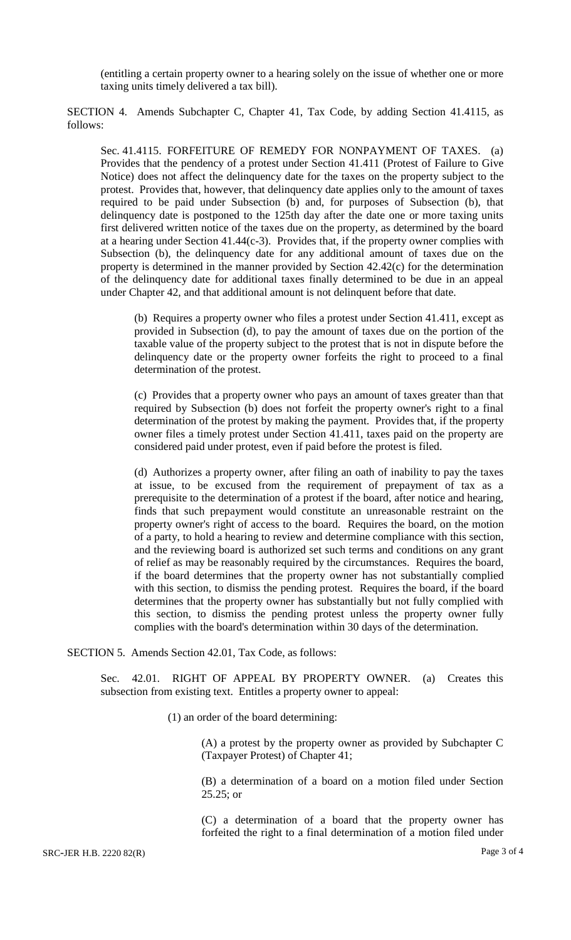(entitling a certain property owner to a hearing solely on the issue of whether one or more taxing units timely delivered a tax bill).

SECTION 4. Amends Subchapter C, Chapter 41, Tax Code, by adding Section 41.4115, as follows:

Sec. 41.4115. FORFEITURE OF REMEDY FOR NONPAYMENT OF TAXES. (a) Provides that the pendency of a protest under Section 41.411 (Protest of Failure to Give Notice) does not affect the delinquency date for the taxes on the property subject to the protest. Provides that, however, that delinquency date applies only to the amount of taxes required to be paid under Subsection (b) and, for purposes of Subsection (b), that delinquency date is postponed to the 125th day after the date one or more taxing units first delivered written notice of the taxes due on the property, as determined by the board at a hearing under Section 41.44(c-3). Provides that, if the property owner complies with Subsection (b), the delinquency date for any additional amount of taxes due on the property is determined in the manner provided by Section 42.42(c) for the determination of the delinquency date for additional taxes finally determined to be due in an appeal under Chapter 42, and that additional amount is not delinquent before that date.

(b) Requires a property owner who files a protest under Section 41.411, except as provided in Subsection (d), to pay the amount of taxes due on the portion of the taxable value of the property subject to the protest that is not in dispute before the delinquency date or the property owner forfeits the right to proceed to a final determination of the protest.

(c) Provides that a property owner who pays an amount of taxes greater than that required by Subsection (b) does not forfeit the property owner's right to a final determination of the protest by making the payment. Provides that, if the property owner files a timely protest under Section 41.411, taxes paid on the property are considered paid under protest, even if paid before the protest is filed.

(d) Authorizes a property owner, after filing an oath of inability to pay the taxes at issue, to be excused from the requirement of prepayment of tax as a prerequisite to the determination of a protest if the board, after notice and hearing, finds that such prepayment would constitute an unreasonable restraint on the property owner's right of access to the board. Requires the board, on the motion of a party, to hold a hearing to review and determine compliance with this section, and the reviewing board is authorized set such terms and conditions on any grant of relief as may be reasonably required by the circumstances. Requires the board, if the board determines that the property owner has not substantially complied with this section, to dismiss the pending protest. Requires the board, if the board determines that the property owner has substantially but not fully complied with this section, to dismiss the pending protest unless the property owner fully complies with the board's determination within 30 days of the determination.

SECTION 5. Amends Section 42.01, Tax Code, as follows:

Sec. 42.01. RIGHT OF APPEAL BY PROPERTY OWNER. (a) Creates this subsection from existing text. Entitles a property owner to appeal:

(1) an order of the board determining:

(A) a protest by the property owner as provided by Subchapter C (Taxpayer Protest) of Chapter 41;

(B) a determination of a board on a motion filed under Section 25.25; or

(C) a determination of a board that the property owner has forfeited the right to a final determination of a motion filed under